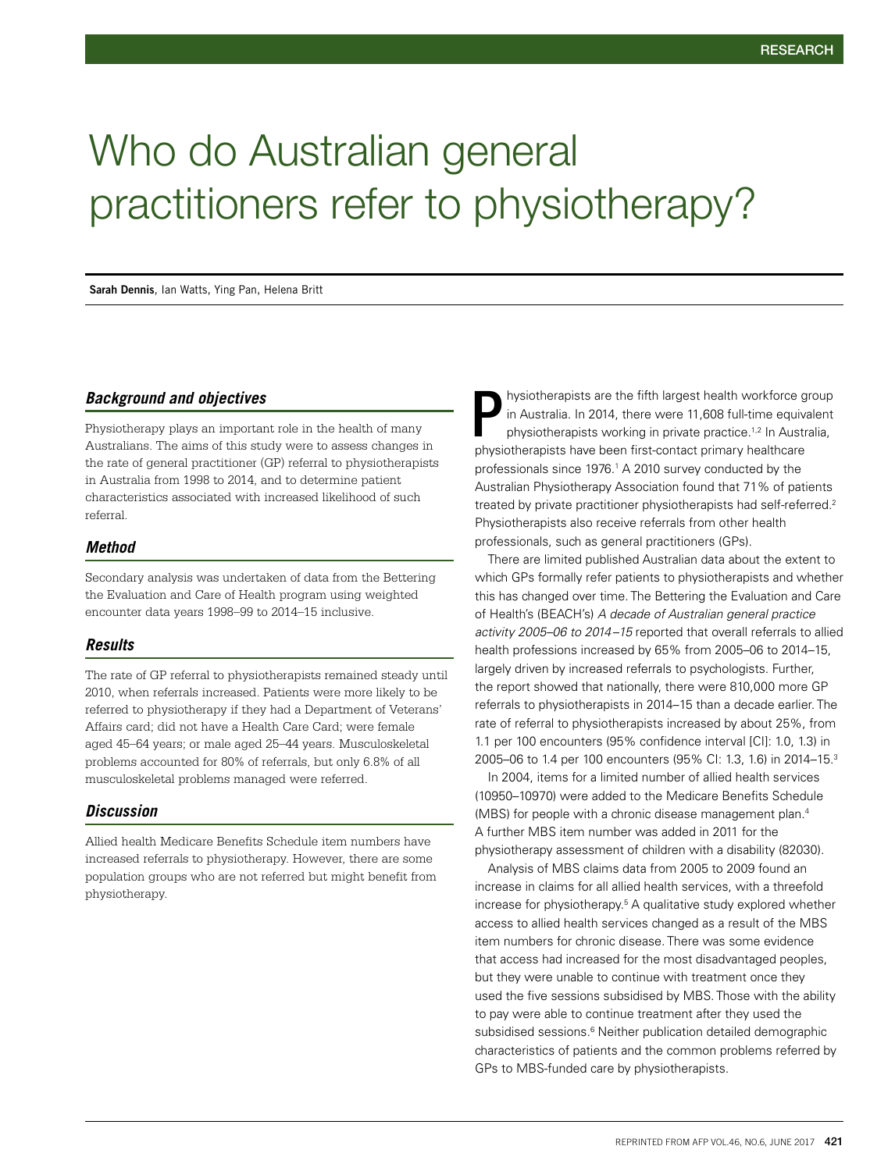# Who do Australian general practitioners refer to physiotherapy?

**Sarah Dennis**, Ian Watts, Ying Pan, Helena Britt

#### *Background and objectives*

Physiotherapy plays an important role in the health of many Australians. The aims of this study were to assess changes in the rate of general practitioner (GP) referral to physiotherapists in Australia from 1998 to 2014, and to determine patient characteristics associated with increased likelihood of such referral.

#### *Method*

Secondary analysis was undertaken of data from the Bettering the Evaluation and Care of Health program using weighted encounter data years 1998–99 to 2014–15 inclusive.

#### *Results*

The rate of GP referral to physiotherapists remained steady until 2010, when referrals increased. Patients were more likely to be referred to physiotherapy if they had a Department of Veterans' Affairs card; did not have a Health Care Card; were female aged 45–64 years; or male aged 25–44 years. Musculoskeletal problems accounted for 80% of referrals, but only 6.8% of all musculoskeletal problems managed were referred.

### *Discussion*

Allied health Medicare Benefits Schedule item numbers have increased referrals to physiotherapy. However, there are some population groups who are not referred but might benefit from physiotherapy.

hysiotherapists are the fifth largest health workforce group in Australia. In 2014, there were 11,608 full-time equivalent physiotherapists working in private practice.<sup>1,2</sup> In Australia, physiotherapists have been first-contact primary healthcare professionals since 1976.<sup>1</sup> A 2010 survey conducted by the Australian Physiotherapy Association found that 71% of patients treated by private practitioner physiotherapists had self-referred.<sup>2</sup> Physiotherapists also receive referrals from other health professionals, such as general practitioners (GPs). P

There are limited published Australian data about the extent to which GPs formally refer patients to physiotherapists and whether this has changed over time. The Bettering the Evaluation and Care of Health's (BEACH's) *A decade of Australian general practice activity 2005–06 to 2014–15* reported that overall referrals to allied health professions increased by 65% from 2005–06 to 2014–15, largely driven by increased referrals to psychologists. Further, the report showed that nationally, there were 810,000 more GP referrals to physiotherapists in 2014–15 than a decade earlier. The rate of referral to physiotherapists increased by about 25%, from 1.1 per 100 encounters (95% confidence interval [CI]: 1.0, 1.3) in 2005–06 to 1.4 per 100 encounters (95% CI: 1.3, 1.6) in 2014–15.3

In 2004, items for a limited number of allied health services (10950–10970) were added to the Medicare Benefits Schedule (MBS) for people with a chronic disease management plan.4 A further MBS item number was added in 2011 for the physiotherapy assessment of children with a disability (82030).

Analysis of MBS claims data from 2005 to 2009 found an increase in claims for all allied health services, with a threefold increase for physiotherapy.<sup>5</sup> A qualitative study explored whether access to allied health services changed as a result of the MBS item numbers for chronic disease. There was some evidence that access had increased for the most disadvantaged peoples, but they were unable to continue with treatment once they used the five sessions subsidised by MBS. Those with the ability to pay were able to continue treatment after they used the subsidised sessions.<sup>6</sup> Neither publication detailed demographic characteristics of patients and the common problems referred by GPs to MBS-funded care by physiotherapists.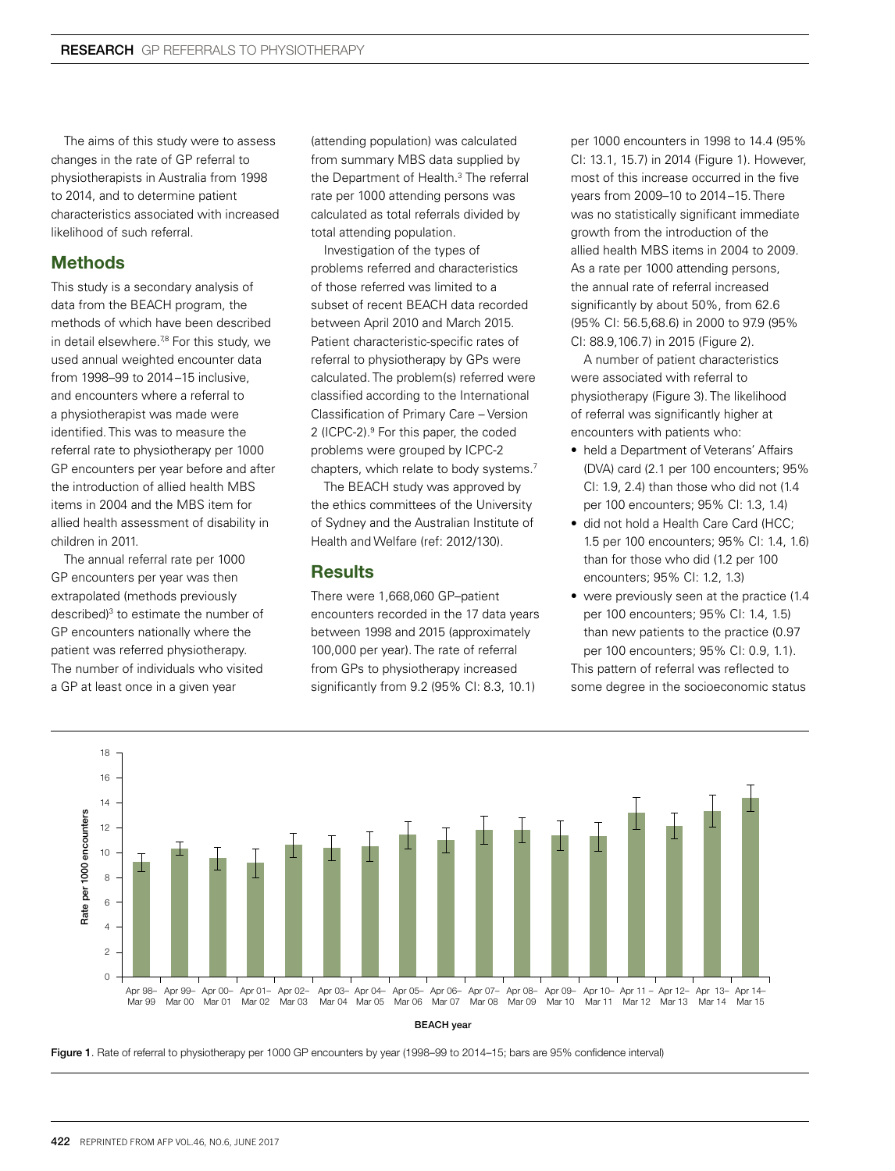The aims of this study were to assess changes in the rate of GP referral to physiotherapists in Australia from 1998 to 2014, and to determine patient characteristics associated with increased likelihood of such referral.

## **Methods**

This study is a secondary analysis of data from the BEACH program, the methods of which have been described in detail elsewhere.<sup>78</sup> For this study, we used annual weighted encounter data from 1998–99 to 2014–15 inclusive, and encounters where a referral to a physiotherapist was made were identified. This was to measure the referral rate to physiotherapy per 1000 GP encounters per year before and after the introduction of allied health MBS items in 2004 and the MBS item for allied health assessment of disability in children in 2011.

The annual referral rate per 1000 GP encounters per year was then extrapolated (methods previously described)<sup>3</sup> to estimate the number of GP encounters nationally where the patient was referred physiotherapy. The number of individuals who visited a GP at least once in a given year

(attending population) was calculated from summary MBS data supplied by the Department of Health.<sup>3</sup> The referral rate per 1000 attending persons was calculated as total referrals divided by total attending population.

Investigation of the types of problems referred and characteristics of those referred was limited to a subset of recent BEACH data recorded between April 2010 and March 2015. Patient characteristic-specific rates of referral to physiotherapy by GPs were calculated. The problem(s) referred were classified according to the International Classification of Primary Care – Version 2 (ICPC-2).<sup>9</sup> For this paper, the coded problems were grouped by ICPC-2 chapters, which relate to body systems.7

The BEACH study was approved by the ethics committees of the University of Sydney and the Australian Institute of Health and Welfare (ref: 2012/130).

## **Results**

There were 1,668,060 GP–patient encounters recorded in the 17 data years between 1998 and 2015 (approximately 100,000 per year). The rate of referral from GPs to physiotherapy increased significantly from 9.2 (95% CI: 8.3, 10.1)

per 1000 encounters in 1998 to 14.4 (95% CI: 13.1, 15.7) in 2014 (Figure 1). However, most of this increase occurred in the five years from 2009–10 to 2014–15. There was no statistically significant immediate growth from the introduction of the allied health MBS items in 2004 to 2009. As a rate per 1000 attending persons, the annual rate of referral increased significantly by about 50%, from 62.6 (95% CI: 56.5,68.6) in 2000 to 97.9 (95% CI: 88.9,106.7) in 2015 (Figure 2).

A number of patient characteristics were associated with referral to physiotherapy (Figure 3). The likelihood of referral was significantly higher at encounters with patients who:

- held a Department of Veterans' Affairs (DVA) card (2.1 per 100 encounters; 95% CI: 1.9, 2.4) than those who did not (1.4 per 100 encounters; 95% CI: 1.3, 1.4)
- did not hold a Health Care Card (HCC: 1.5 per 100 encounters; 95% CI: 1.4, 1.6) than for those who did (1.2 per 100 encounters; 95% CI: 1.2, 1.3)
- were previously seen at the practice (1.4) per 100 encounters; 95% CI: 1.4, 1.5) than new patients to the practice (0.97 per 100 encounters; 95% CI: 0.9, 1.1). This pattern of referral was reflected to some degree in the socioeconomic status



Figure 1. Rate of referral to physiotherapy per 1000 GP encounters by year (1998-99 to 2014-15; bars are 95% confidence interval)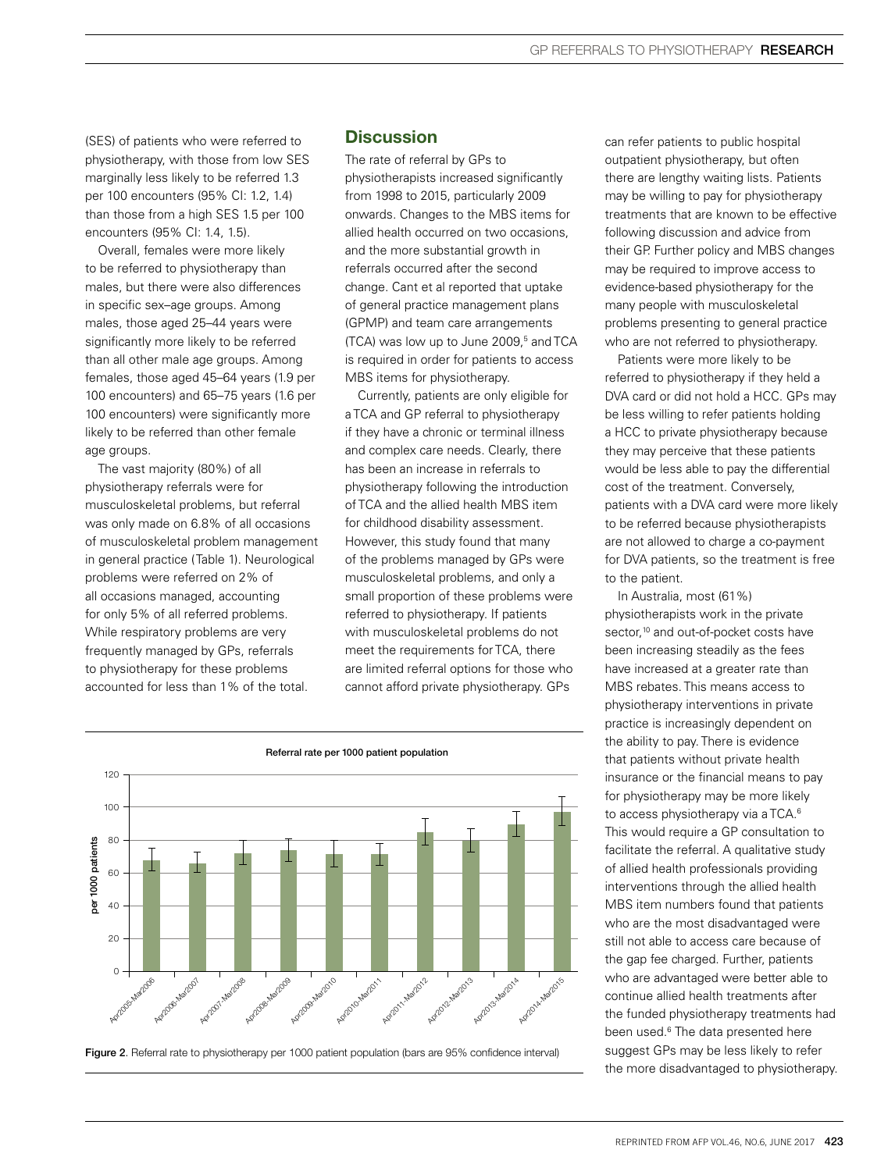(SES) of patients who were referred to physiotherapy, with those from low SES marginally less likely to be referred 1.3 per 100 encounters (95% CI: 1.2, 1.4) than those from a high SES 1.5 per 100 encounters (95% CI: 1.4, 1.5).

Overall, females were more likely to be referred to physiotherapy than males, but there were also differences in specific sex–age groups. Among males, those aged 25–44 years were significantly more likely to be referred than all other male age groups. Among females, those aged 45–64 years (1.9 per 100 encounters) and 65–75 years (1.6 per 100 encounters) were significantly more likely to be referred than other female age groups.

The vast majority (80%) of all physiotherapy referrals were for musculoskeletal problems, but referral was only made on 6.8% of all occasions of musculoskeletal problem management in general practice (Table 1). Neurological problems were referred on 2% of all occasions managed, accounting for only 5% of all referred problems. While respiratory problems are very frequently managed by GPs, referrals to physiotherapy for these problems accounted for less than 1% of the total.

## **Discussion**

The rate of referral by GPs to physiotherapists increased significantly from 1998 to 2015, particularly 2009 onwards. Changes to the MBS items for allied health occurred on two occasions, and the more substantial growth in referrals occurred after the second change. Cant et al reported that uptake of general practice management plans (GPMP) and team care arrangements  $(TCA)$  was low up to June 2009, $5$  and TCA is required in order for patients to access MBS items for physiotherapy.

Currently, patients are only eligible for a TCA and GP referral to physiotherapy if they have a chronic or terminal illness and complex care needs. Clearly, there has been an increase in referrals to physiotherapy following the introduction of TCA and the allied health MBS item for childhood disability assessment. However, this study found that many of the problems managed by GPs were musculoskeletal problems, and only a small proportion of these problems were referred to physiotherapy. If patients with musculoskeletal problems do not meet the requirements for TCA, there are limited referral options for those who cannot afford private physiotherapy. GPs



Figure 2. Referral rate to physiotherapy per 1000 patient population (bars are 95% confidence interval)

can refer patients to public hospital outpatient physiotherapy, but often there are lengthy waiting lists. Patients may be willing to pay for physiotherapy treatments that are known to be effective following discussion and advice from their GP. Further policy and MBS changes may be required to improve access to evidence-based physiotherapy for the many people with musculoskeletal problems presenting to general practice who are not referred to physiotherapy.

Patients were more likely to be referred to physiotherapy if they held a DVA card or did not hold a HCC. GPs may be less willing to refer patients holding a HCC to private physiotherapy because they may perceive that these patients would be less able to pay the differential cost of the treatment. Conversely, patients with a DVA card were more likely to be referred because physiotherapists are not allowed to charge a co-payment for DVA patients, so the treatment is free to the patient.

In Australia, most (61%) physiotherapists work in the private sector.<sup>10</sup> and out-of-pocket costs have been increasing steadily as the fees have increased at a greater rate than MBS rebates. This means access to physiotherapy interventions in private practice is increasingly dependent on the ability to pay. There is evidence that patients without private health insurance or the financial means to pay for physiotherapy may be more likely to access physiotherapy via a TCA.<sup>6</sup> This would require a GP consultation to facilitate the referral. A qualitative study of allied health professionals providing interventions through the allied health MBS item numbers found that patients who are the most disadvantaged were still not able to access care because of the gap fee charged. Further, patients who are advantaged were better able to continue allied health treatments after the funded physiotherapy treatments had been used.<sup>6</sup> The data presented here suggest GPs may be less likely to refer the more disadvantaged to physiotherapy.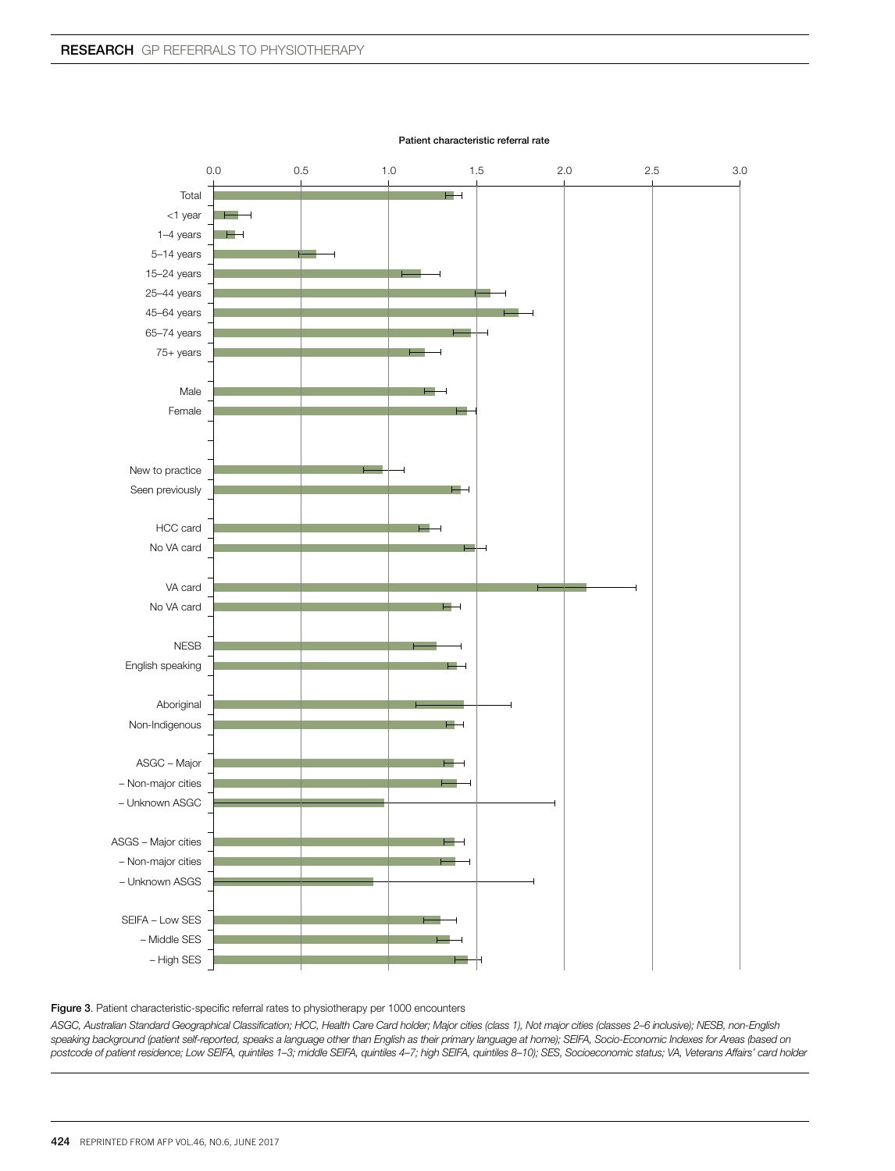

Patient characteristic referral rate

Figure 3. Patient characteristic-specific referral rates to physiotherapy per 1000 encounters

*ASGC, Australian Standard Geographical Classification; HCC, Health Care Card holder; Major cities (class 1), Not major cities (classes 2–6 inclusive); NESB, non-English*  speaking background (patient self-reported, speaks a language other than English as their primary language at home); SEIFA, Socio-Economic Indexes for Areas (based on *postcode of patient residence; Low SEIFA, quintiles 1–3; middle SEIFA, quintiles 4–7; high SEIFA, quintiles 8–10); SES, Socioeconomic status; VA, Veterans Affairs' card holder*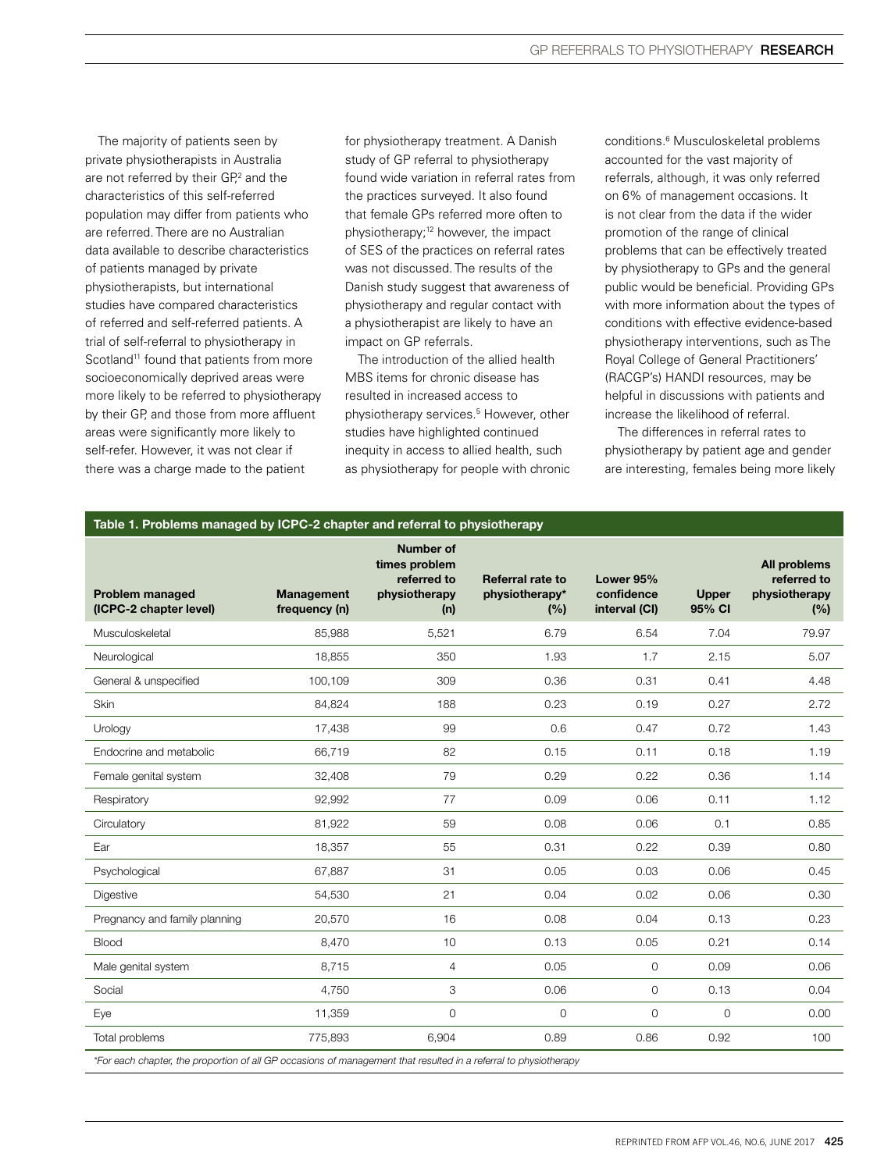The majority of patients seen by private physiotherapists in Australia are not referred by their GP,<sup>2</sup> and the characteristics of this self-referred population may differ from patients who are referred. There are no Australian data available to describe characteristics of patients managed by private physiotherapists, but international studies have compared characteristics of referred and self-referred patients. A trial of self-referral to physiotherapy in Scotland<sup>11</sup> found that patients from more socioeconomically deprived areas were more likely to be referred to physiotherapy by their GP, and those from more affluent areas were significantly more likely to self-refer. However, it was not clear if there was a charge made to the patient

for physiotherapy treatment. A Danish study of GP referral to physiotherapy found wide variation in referral rates from the practices surveyed. It also found that female GPs referred more often to physiotherapy;<sup>12</sup> however, the impact of SES of the practices on referral rates was not discussed. The results of the Danish study suggest that awareness of physiotherapy and regular contact with a physiotherapist are likely to have an impact on GP referrals.

The introduction of the allied health MBS items for chronic disease has resulted in increased access to physiotherapy services.5 However, other studies have highlighted continued inequity in access to allied health, such as physiotherapy for people with chronic

conditions.6 Musculoskeletal problems accounted for the vast majority of referrals, although, it was only referred on 6% of management occasions. It is not clear from the data if the wider promotion of the range of clinical problems that can be effectively treated by physiotherapy to GPs and the general public would be beneficial. Providing GPs with more information about the types of conditions with effective evidence-based physiotherapy interventions, such as The Royal College of General Practitioners' (RACGP's) HANDI resources, may be helpful in discussions with patients and increase the likelihood of referral.

The differences in referral rates to physiotherapy by patient age and gender are interesting, females being more likely

#### Table 1. Problems managed by ICPC-2 chapter and referral to physiotherapy

| <b>Problem managed</b><br>(ICPC-2 chapter level)                                                                 | <b>Management</b><br>frequency (n) | <b>Number of</b><br>times problem<br>referred to<br>physiotherapy<br>(n) | Referral rate to<br>physiotherapy*<br>(%) | Lower 95%<br>confidence<br>interval (CI) | <b>Upper</b><br>95% CI | <b>All problems</b><br>referred to<br>physiotherapy<br>(%) |
|------------------------------------------------------------------------------------------------------------------|------------------------------------|--------------------------------------------------------------------------|-------------------------------------------|------------------------------------------|------------------------|------------------------------------------------------------|
| Musculoskeletal                                                                                                  | 85,988                             | 5,521                                                                    | 6.79                                      | 6.54                                     | 7.04                   | 79.97                                                      |
| Neurological                                                                                                     | 18,855                             | 350                                                                      | 1.93                                      | 1.7                                      | 2.15                   | 5.07                                                       |
| General & unspecified                                                                                            | 100,109                            | 309                                                                      | 0.36                                      | 0.31                                     | 0.41                   | 4.48                                                       |
| Skin                                                                                                             | 84,824                             | 188                                                                      | 0.23                                      | 0.19                                     | 0.27                   | 2.72                                                       |
| Urology                                                                                                          | 17,438                             | 99                                                                       | 0.6                                       | 0.47                                     | 0.72                   | 1.43                                                       |
| Endocrine and metabolic                                                                                          | 66,719                             | 82                                                                       | 0.15                                      | 0.11                                     | 0.18                   | 1.19                                                       |
| Female genital system                                                                                            | 32,408                             | 79                                                                       | 0.29                                      | 0.22                                     | 0.36                   | 1.14                                                       |
| Respiratory                                                                                                      | 92,992                             | 77                                                                       | 0.09                                      | 0.06                                     | 0.11                   | 1.12                                                       |
| Circulatory                                                                                                      | 81,922                             | 59                                                                       | 0.08                                      | 0.06                                     | 0.1                    | 0.85                                                       |
| Ear                                                                                                              | 18,357                             | 55                                                                       | 0.31                                      | 0.22                                     | 0.39                   | 0.80                                                       |
| Psychological                                                                                                    | 67,887                             | 31                                                                       | 0.05                                      | 0.03                                     | 0.06                   | 0.45                                                       |
| Digestive                                                                                                        | 54,530                             | 21                                                                       | 0.04                                      | 0.02                                     | 0.06                   | 0.30                                                       |
| Pregnancy and family planning                                                                                    | 20,570                             | 16                                                                       | 0.08                                      | 0.04                                     | 0.13                   | 0.23                                                       |
| Blood                                                                                                            | 8,470                              | 10                                                                       | 0.13                                      | 0.05                                     | 0.21                   | 0.14                                                       |
| Male genital system                                                                                              | 8,715                              | $\overline{4}$                                                           | 0.05                                      | 0                                        | 0.09                   | 0.06                                                       |
| Social                                                                                                           | 4.750                              | 3                                                                        | 0.06                                      | 0                                        | 0.13                   | 0.04                                                       |
| Eye                                                                                                              | 11,359                             | 0                                                                        | $\mathsf{O}\xspace$                       | $\mathsf{O}\xspace$                      | $\mathsf{O}\xspace$    | 0.00                                                       |
| Total problems                                                                                                   | 775,893                            | 6,904                                                                    | 0.89                                      | 0.86                                     | 0.92                   | 100                                                        |
| *For each chapter, the proportion of all CP occasions of management that resulted in a referral to physiotherany |                                    |                                                                          |                                           |                                          |                        |                                                            |

*\*For each chapter, the proportion of all GP occasions of management that resulted in a referral to physiotherapy*